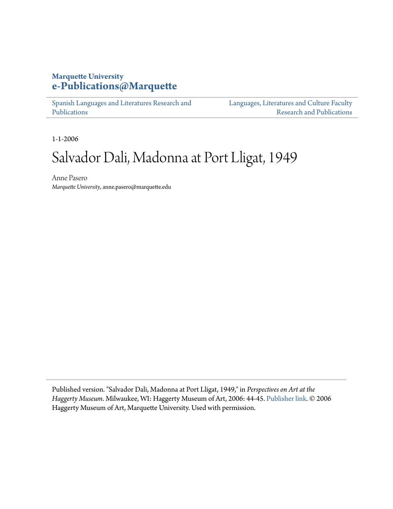## **Marquette University [e-Publications@Marquette](https://epublications.marquette.edu)**

[Spanish Languages and Literatures Research and](https://epublications.marquette.edu/span_fac) [Publications](https://epublications.marquette.edu/span_fac)

[Languages, Literatures and Culture Faculty](https://epublications.marquette.edu/fola_fac) [Research and Publications](https://epublications.marquette.edu/fola_fac)

1-1-2006

## Salvador Dali, Madonna at Port Lligat, 1949

Anne Pasero *Marquette University*, anne.pasero@marquette.edu

Published version. "Salvador Dali, Madonna at Port Lligat, 1949," in *Perspectives on Art at the Haggerty Museum*. Milwaukee, WI: Haggerty Museum of Art, 2006: 44-45. [Publisher link](http://www.marquette.edu/haggerty/index.shtml). © 2006 Haggerty Museum of Art, Marquette University. Used with permission.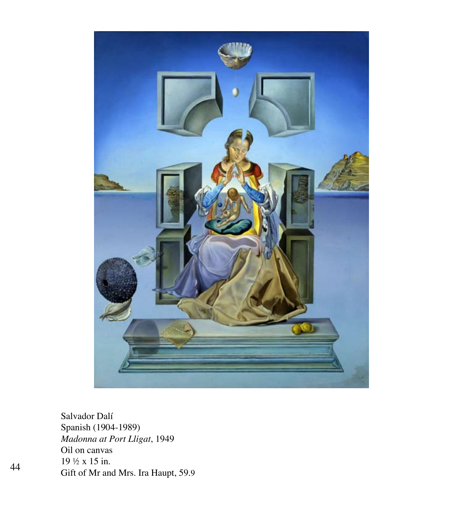

Salvador Dalí Spanish (1904-1989) *Madonna at Port Lligat*, 1949 Oil on canvas 19 ½ x 15 in. Gift of Mr and Mrs. Ira Haupt, 59.9